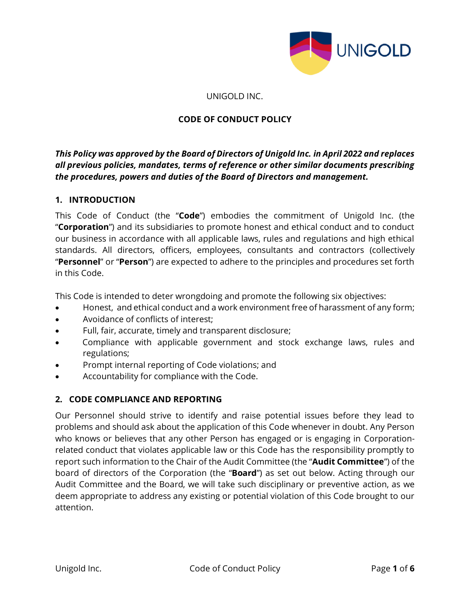

#### UNIGOLD INC.

### **CODE OF CONDUCT POLICY**

# *This Policy was approved by the Board of Directors of Unigold Inc. in April 2022 and replaces all previous policies, mandates, terms of reference or other similar documents prescribing the procedures, powers and duties of the Board of Directors and management.*

### **1. INTRODUCTION**

This Code of Conduct (the "**Code**") embodies the commitment of Unigold Inc. (the "**Corporation**") and its subsidiaries to promote honest and ethical conduct and to conduct our business in accordance with all applicable laws, rules and regulations and high ethical standards. All directors, officers, employees, consultants and contractors (collectively "**Personnel**" or "**Person**") are expected to adhere to the principles and procedures set forth in this Code.

This Code is intended to deter wrongdoing and promote the following six objectives:

- Honest, and ethical conduct and a work environment free of harassment of any form;
- Avoidance of conflicts of interest;
- Full, fair, accurate, timely and transparent disclosure;
- Compliance with applicable government and stock exchange laws, rules and regulations;
- Prompt internal reporting of Code violations; and
- Accountability for compliance with the Code.

### **2. CODE COMPLIANCE AND REPORTING**

Our Personnel should strive to identify and raise potential issues before they lead to problems and should ask about the application of this Code whenever in doubt. Any Person who knows or believes that any other Person has engaged or is engaging in Corporationrelated conduct that violates applicable law or this Code has the responsibility promptly to report such information to the Chair of the Audit Committee (the "**Audit Committee**") of the board of directors of the Corporation (the "**Board**") as set out below. Acting through our Audit Committee and the Board, we will take such disciplinary or preventive action, as we deem appropriate to address any existing or potential violation of this Code brought to our attention.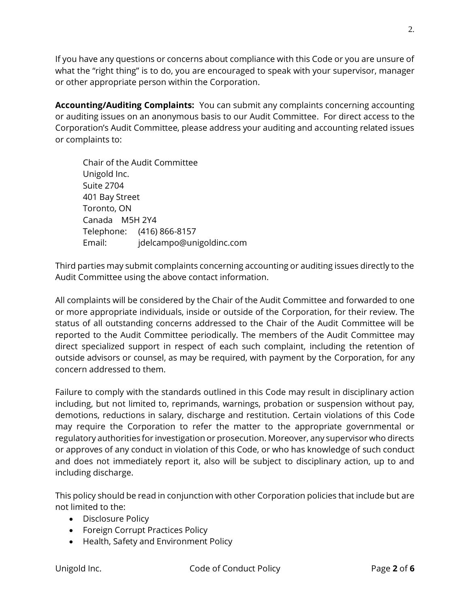If you have any questions or concerns about compliance with this Code or you are unsure of what the "right thing" is to do, you are encouraged to speak with your supervisor, manager or other appropriate person within the Corporation.

**Accounting/Auditing Complaints:** You can submit any complaints concerning accounting or auditing issues on an anonymous basis to our Audit Committee. For direct access to the Corporation's Audit Committee, please address your auditing and accounting related issues or complaints to:

Chair of the Audit Committee Unigold Inc. Suite 2704 401 Bay Street Toronto, ON Canada M5H 2Y4 Telephone: (416) 866-8157 Email: jdelcampo@unigoldinc.com

Third parties may submit complaints concerning accounting or auditing issues directly to the Audit Committee using the above contact information.

All complaints will be considered by the Chair of the Audit Committee and forwarded to one or more appropriate individuals, inside or outside of the Corporation, for their review. The status of all outstanding concerns addressed to the Chair of the Audit Committee will be reported to the Audit Committee periodically. The members of the Audit Committee may direct specialized support in respect of each such complaint, including the retention of outside advisors or counsel, as may be required, with payment by the Corporation, for any concern addressed to them.

Failure to comply with the standards outlined in this Code may result in disciplinary action including, but not limited to, reprimands, warnings, probation or suspension without pay, demotions, reductions in salary, discharge and restitution. Certain violations of this Code may require the Corporation to refer the matter to the appropriate governmental or regulatory authorities for investigation or prosecution. Moreover, any supervisor who directs or approves of any conduct in violation of this Code, or who has knowledge of such conduct and does not immediately report it, also will be subject to disciplinary action, up to and including discharge.

This policy should be read in conjunction with other Corporation policies that include but are not limited to the:

- Disclosure Policy
- Foreign Corrupt Practices Policy
- Health, Safety and Environment Policy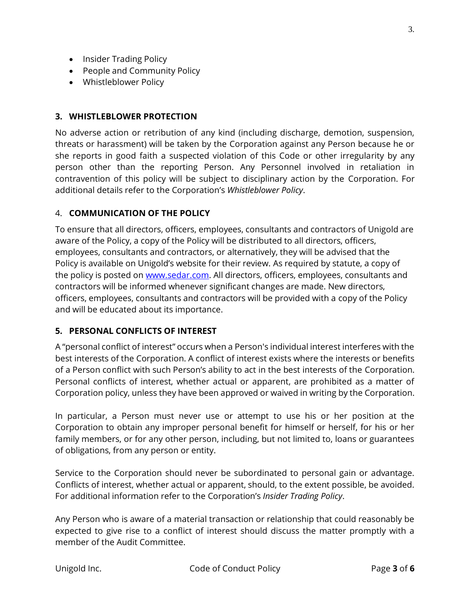- Insider Trading Policy
- People and Community Policy
- Whistleblower Policy

### **3. WHISTLEBLOWER PROTECTION**

No adverse action or retribution of any kind (including discharge, demotion, suspension, threats or harassment) will be taken by the Corporation against any Person because he or she reports in good faith a suspected violation of this Code or other irregularity by any person other than the reporting Person. Any Personnel involved in retaliation in contravention of this policy will be subject to disciplinary action by the Corporation. For additional details refer to the Corporation's *Whistleblower Policy*.

### 4. **COMMUNICATION OF THE POLICY**

To ensure that all directors, officers, employees, consultants and contractors of Unigold are aware of the Policy, a copy of the Policy will be distributed to all directors, officers, employees, consultants and contractors, or alternatively, they will be advised that the Policy is available on Unigold's website for their review. As required by statute, a copy of the policy is posted on [www.sedar.com.](http://www.sedar.com/) All directors, officers, employees, consultants and contractors will be informed whenever significant changes are made. New directors, officers, employees, consultants and contractors will be provided with a copy of the Policy and will be educated about its importance.

### **5. PERSONAL CONFLICTS OF INTEREST**

A "personal conflict of interest" occurs when a Person's individual interest interferes with the best interests of the Corporation. A conflict of interest exists where the interests or benefits of a Person conflict with such Person's ability to act in the best interests of the Corporation. Personal conflicts of interest, whether actual or apparent, are prohibited as a matter of Corporation policy, unless they have been approved or waived in writing by the Corporation.

In particular, a Person must never use or attempt to use his or her position at the Corporation to obtain any improper personal benefit for himself or herself, for his or her family members, or for any other person, including, but not limited to, loans or guarantees of obligations, from any person or entity.

Service to the Corporation should never be subordinated to personal gain or advantage. Conflicts of interest, whether actual or apparent, should, to the extent possible, be avoided. For additional information refer to the Corporation's *Insider Trading Policy*.

Any Person who is aware of a material transaction or relationship that could reasonably be expected to give rise to a conflict of interest should discuss the matter promptly with a member of the Audit Committee.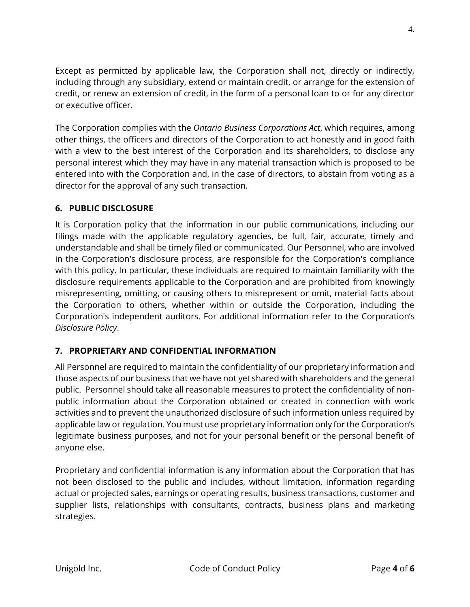Except as permitted by applicable law, the Corporation shall not, directly or indirectly, including through any subsidiary, extend or maintain credit, or arrange for the extension of credit, or renew an extension of credit, in the form of a personal loan to or for any director or executive officer.

The Corporation complies with the *Ontario Business Corporations Act*, which requires, among other things, the officers and directors of the Corporation to act honestly and in good faith with a view to the best interest of the Corporation and its shareholders, to disclose any personal interest which they may have in any material transaction which is proposed to be entered into with the Corporation and, in the case of directors, to abstain from voting as a director for the approval of any such transaction.

# **6. PUBLIC DISCLOSURE**

It is Corporation policy that the information in our public communications, including our filings made with the applicable regulatory agencies, be full, fair, accurate, timely and understandable and shall be timely filed or communicated. Our Personnel, who are involved in the Corporation's disclosure process, are responsible for the Corporation's compliance with this policy. In particular, these individuals are required to maintain familiarity with the disclosure requirements applicable to the Corporation and are prohibited from knowingly misrepresenting, omitting, or causing others to misrepresent or omit, material facts about the Corporation to others, whether within or outside the Corporation, including the Corporation's independent auditors. For additional information refer to the Corporation's *Disclosure Policy*.

# **7. PROPRIETARY AND CONFIDENTIAL INFORMATION**

All Personnel are required to maintain the confidentiality of our proprietary information and those aspects of our business that we have not yet shared with shareholders and the general public. Personnel should take all reasonable measures to protect the confidentiality of nonpublic information about the Corporation obtained or created in connection with work activities and to prevent the unauthorized disclosure of such information unless required by applicable law or regulation. You must use proprietary information only for the Corporation's legitimate business purposes, and not for your personal benefit or the personal benefit of anyone else.

Proprietary and confidential information is any information about the Corporation that has not been disclosed to the public and includes, without limitation, information regarding actual or projected sales, earnings or operating results, business transactions, customer and supplier lists, relationships with consultants, contracts, business plans and marketing strategies.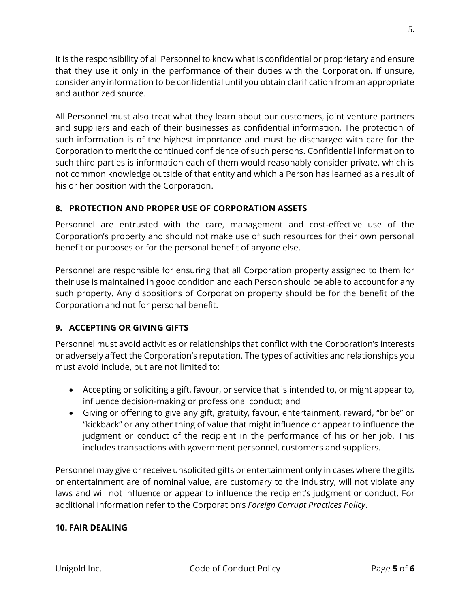It is the responsibility of all Personnel to know what is confidential or proprietary and ensure that they use it only in the performance of their duties with the Corporation. If unsure, consider any information to be confidential until you obtain clarification from an appropriate and authorized source.

All Personnel must also treat what they learn about our customers, joint venture partners and suppliers and each of their businesses as confidential information. The protection of such information is of the highest importance and must be discharged with care for the Corporation to merit the continued confidence of such persons. Confidential information to such third parties is information each of them would reasonably consider private, which is not common knowledge outside of that entity and which a Person has learned as a result of his or her position with the Corporation.

# **8. PROTECTION AND PROPER USE OF CORPORATION ASSETS**

Personnel are entrusted with the care, management and cost-effective use of the Corporation's property and should not make use of such resources for their own personal benefit or purposes or for the personal benefit of anyone else.

Personnel are responsible for ensuring that all Corporation property assigned to them for their use is maintained in good condition and each Person should be able to account for any such property. Any dispositions of Corporation property should be for the benefit of the Corporation and not for personal benefit.

# **9. ACCEPTING OR GIVING GIFTS**

Personnel must avoid activities or relationships that conflict with the Corporation's interests or adversely affect the Corporation's reputation. The types of activities and relationships you must avoid include, but are not limited to:

- Accepting or soliciting a gift, favour, or service that is intended to, or might appear to, influence decision-making or professional conduct; and
- Giving or offering to give any gift, gratuity, favour, entertainment, reward, "bribe" or "kickback" or any other thing of value that might influence or appear to influence the judgment or conduct of the recipient in the performance of his or her job. This includes transactions with government personnel, customers and suppliers.

Personnel may give or receive unsolicited gifts or entertainment only in cases where the gifts or entertainment are of nominal value, are customary to the industry, will not violate any laws and will not influence or appear to influence the recipient's judgment or conduct. For additional information refer to the Corporation's *Foreign Corrupt Practices Policy*.

### **10. FAIR DEALING**